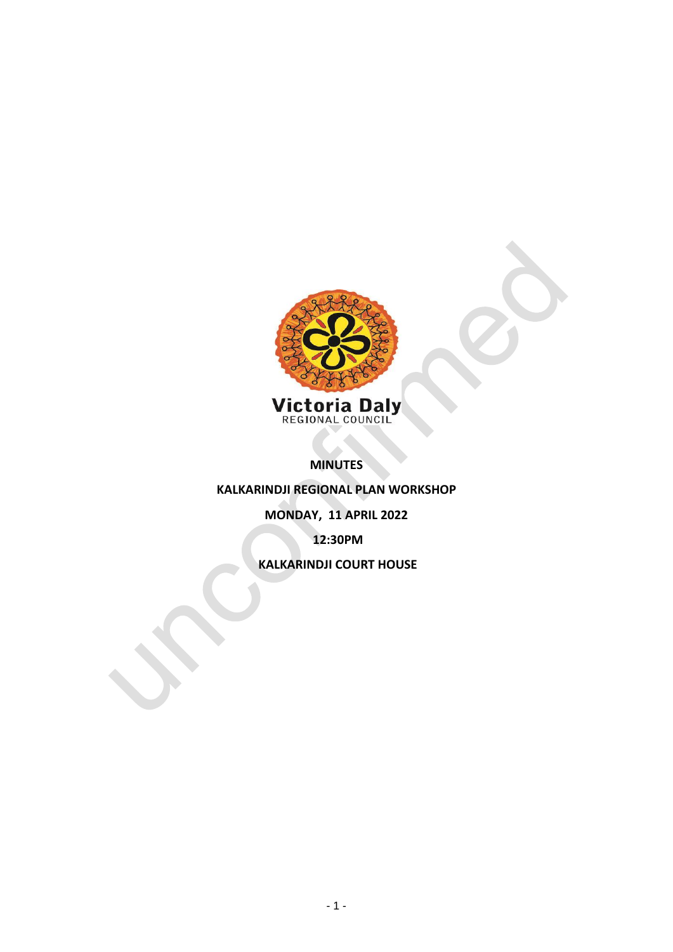

**MINUTES** 

**KALKARINDJI REGIONAL PLAN WORKSHOP**

**MONDAY, 11 APRIL 2022**

**12:30PM**

**KALKARINDJI COURT HOUSE**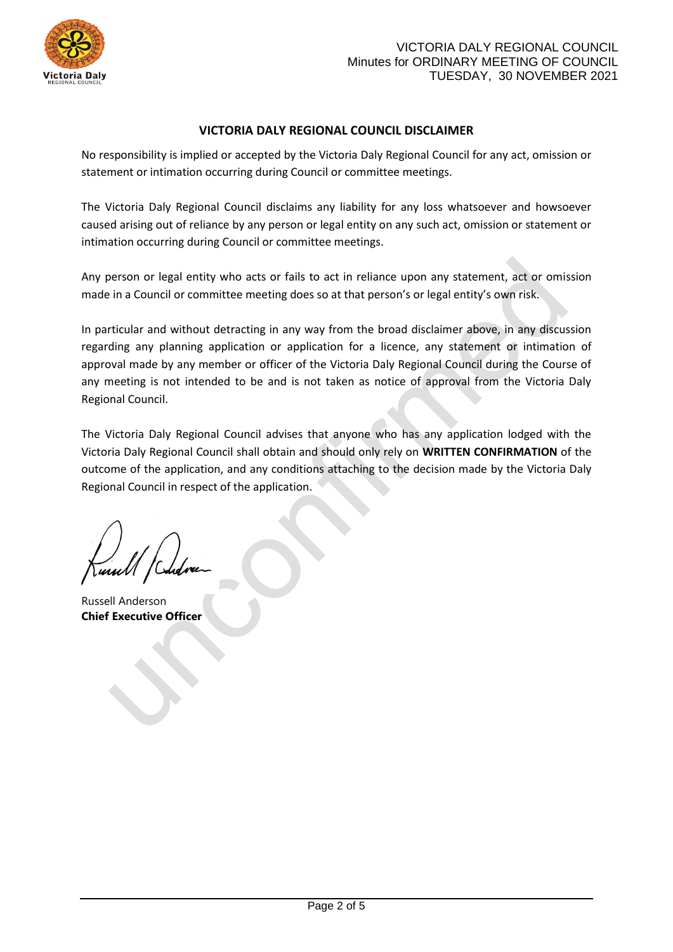

## **VICTORIA DALY REGIONAL COUNCIL DISCLAIMER**

No responsibility is implied or accepted by the Victoria Daly Regional Council for any act, omission or statement or intimation occurring during Council or committee meetings.

The Victoria Daly Regional Council disclaims any liability for any loss whatsoever and howsoever caused arising out of reliance by any person or legal entity on any such act, omission or statement or intimation occurring during Council or committee meetings.

Any person or legal entity who acts or fails to act in reliance upon any statement, act or omission made in a Council or committee meeting does so at that person's or legal entity's own risk.

In particular and without detracting in any way from the broad disclaimer above, in any discussion regarding any planning application or application for a licence, any statement or intimation of approval made by any member or officer of the Victoria Daly Regional Council during the Course of any meeting is not intended to be and is not taken as notice of approval from the Victoria Daly Regional Council.

The Victoria Daly Regional Council advises that anyone who has any application lodged with the Victoria Daly Regional Council shall obtain and should only rely on **WRITTEN CONFIRMATION** of the outcome of the application, and any conditions attaching to the decision made by the Victoria Daly Regional Council in respect of the application.

Russell Anderson **Chief Executive Officer**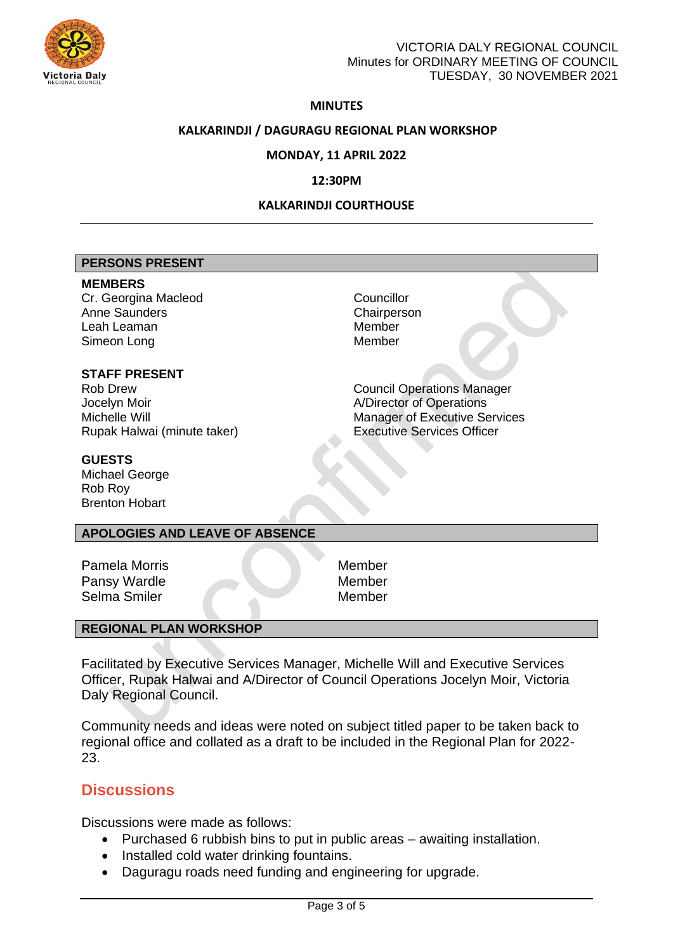

## **MINUTES**

## **KALKARINDJI / DAGURAGU REGIONAL PLAN WORKSHOP**

## **MONDAY, 11 APRIL 2022**

## **12:30PM**

## **KALKARINDJI COURTHOUSE**

### **PERSONS PRESENT**

#### **MEMBERS**

Cr. Georgina Macleod Councillor Anne Saunders **Chairperson** Leah Leaman **Member** Member Simeon Long Member

## **STAFF PRESENT**

Jocelyn Moir **And Albier Albier And Albier And Albier Albier And Albier And Albier And Albier And Albier And A** Rupak Halwai (minute taker) Executive Services Officer

Rob Drew **Council Operations Manager** Michelle Will Manager of Executive Services

### **GUESTS**

Michael George Rob Roy Brenton Hobart

## **APOLOGIES AND LEAVE OF ABSENCE**

Pamela Morris Member Pansy Wardle Member Selma Smiler Member

## **REGIONAL PLAN WORKSHOP**

Facilitated by Executive Services Manager, Michelle Will and Executive Services Officer, Rupak Halwai and A/Director of Council Operations Jocelyn Moir, Victoria Daly Regional Council.

Community needs and ideas were noted on subject titled paper to be taken back to regional office and collated as a draft to be included in the Regional Plan for 2022- 23.

# **Discussions**

Discussions were made as follows:

- Purchased 6 rubbish bins to put in public areas awaiting installation.
- Installed cold water drinking fountains.
- Daguragu roads need funding and engineering for upgrade.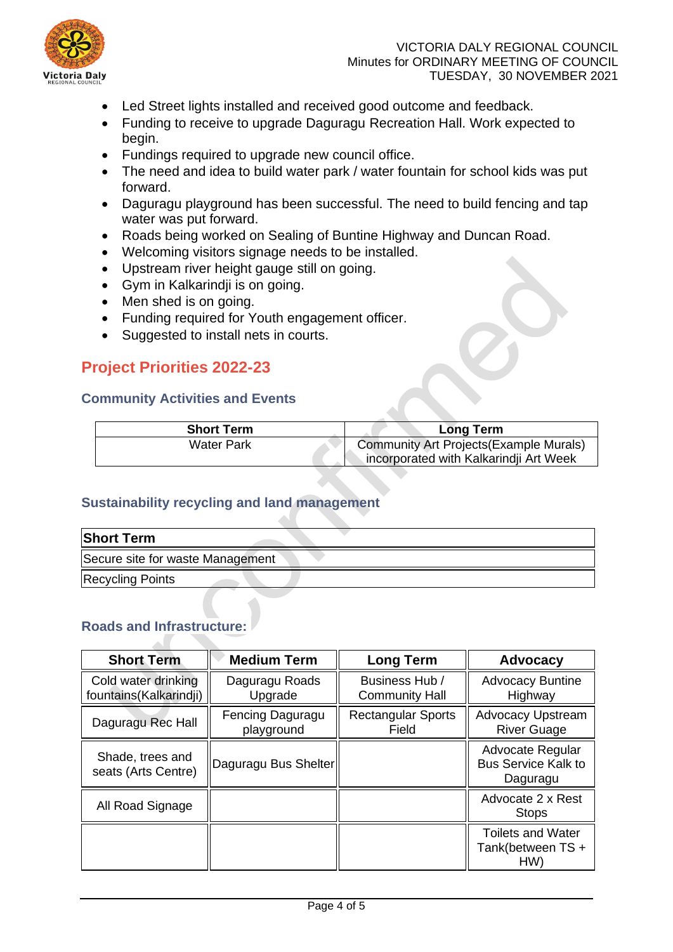

## VICTORIA DALY REGIONAL COUNCIL Minutes for ORDINARY MEETING OF COUNCIL TUESDAY, 30 NOVEMBER 2021

- Led Street lights installed and received good outcome and feedback.
- Funding to receive to upgrade Daguragu Recreation Hall. Work expected to begin.
- Fundings required to upgrade new council office.
- The need and idea to build water park / water fountain for school kids was put forward.
- Daguragu playground has been successful. The need to build fencing and tap water was put forward.
- Roads being worked on Sealing of Buntine Highway and Duncan Road.
- Welcoming visitors signage needs to be installed.
- Upstream river height gauge still on going.
- Gym in Kalkarindji is on going.
- Men shed is on going.
- Funding required for Youth engagement officer.
- Suggested to install nets in courts.

# **Project Priorities 2022-23**

# **Community Activities and Events**

| <b>Short Term</b> | <b>Long Term</b>                        |
|-------------------|-----------------------------------------|
| Water Park        | Community Art Projects (Example Murals) |
|                   | incorporated with Kalkarindji Art Week  |

# **Sustainability recycling and land management**

a.

| <b>Short Term</b>                |  |
|----------------------------------|--|
| Secure site for waste Management |  |
| <b>Recycling Points</b>          |  |

# **Roads and Infrastructure:**

| <b>Short Term</b>                             | <b>Medium Term</b>             | <b>Long Term</b>                        | <b>Advocacy</b>                                            |
|-----------------------------------------------|--------------------------------|-----------------------------------------|------------------------------------------------------------|
| Cold water drinking<br>fountains(Kalkarindji) | Daguragu Roads<br>Upgrade      | Business Hub /<br><b>Community Hall</b> | <b>Advocacy Buntine</b><br>Highway                         |
| Daguragu Rec Hall                             | Fencing Daguragu<br>playground | <b>Rectangular Sports</b><br>Field      | <b>Advocacy Upstream</b><br><b>River Guage</b>             |
| Shade, trees and<br>seats (Arts Centre)       | Daguragu Bus Shelter           |                                         | Advocate Regular<br><b>Bus Service Kalk to</b><br>Daguragu |
| All Road Signage                              |                                |                                         | Advocate 2 x Rest<br><b>Stops</b>                          |
|                                               |                                |                                         | <b>Toilets and Water</b><br>Tank(between TS +<br>HW)       |